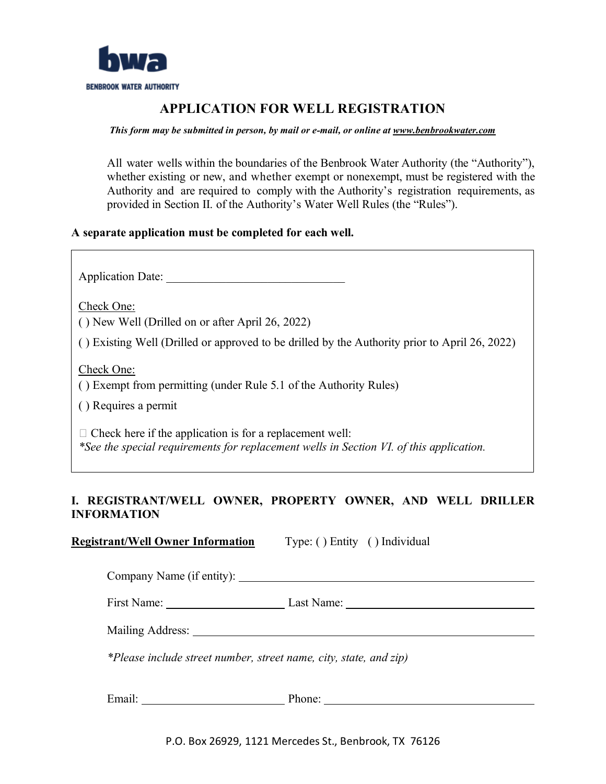

# **APPLICATION FOR WELL REGISTRATION**

#### *This form may be submitted in person, by mail or e-mail, or online at www.benbrookwater.com*

All water wells within the boundaries of the Benbrook Water Authority (the "Authority"), whether existing or new, and whether exempt or nonexempt, must be registered with the Authority and are required to comply with the Authority's registration requirements, as provided in Section II. of the Authority's Water Well Rules (the "Rules").

#### **A separate application must be completed for each well.**

Application Date:

Check One:

( ) New Well (Drilled on or after April 26, 2022)

( ) Existing Well (Drilled or approved to be drilled by the Authority prior to April 26, 2022)

Check One:

( ) Exempt from permitting (under Rule 5.1 of the Authority Rules)

( ) Requires a permit

 $\Box$  Check here if the application is for a replacement well: *\*See the special requirements for replacement wells in Section VI. of this application.* 

## **I. REGISTRANT/WELL OWNER, PROPERTY OWNER, AND WELL DRILLER INFORMATION**

**Registrant/Well Owner Information** Type: ( ) Entity ( ) Individual

Company Name (if entity):

First Name: Last Name:

Mailing Address:

*\*Please include street number, street name, city, state, and zip)*

Email: Phone:

P.O. Box 26929, 1121 Mercedes St., Benbrook, TX 76126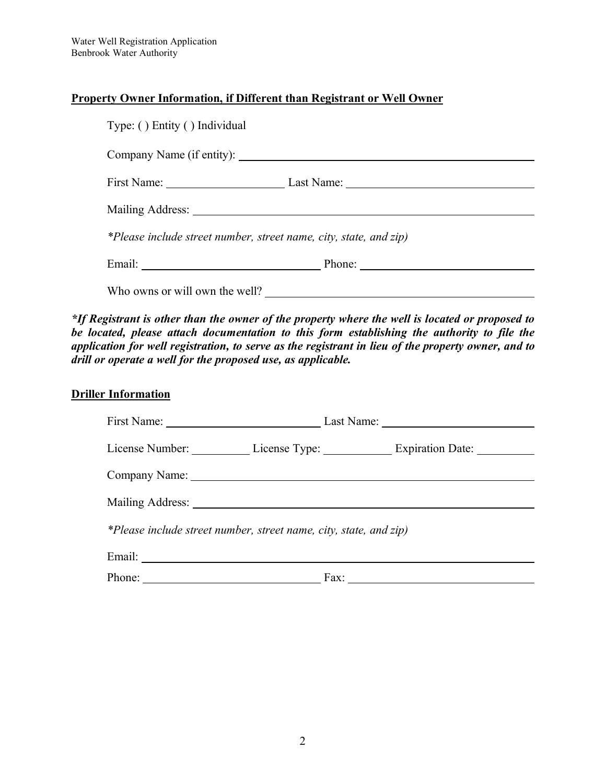#### **Property Owner Information, if Different than Registrant or Well Owner**

| Type: () Entity () Individual                                     |                                   |  |
|-------------------------------------------------------------------|-----------------------------------|--|
|                                                                   |                                   |  |
|                                                                   | First Name: Last Name: Last Name: |  |
|                                                                   |                                   |  |
| *Please include street number, street name, city, state, and zip) |                                   |  |
|                                                                   |                                   |  |
| Who owns or will own the well?                                    |                                   |  |

*\*If Registrant is other than the owner of the property where the well is located or proposed to be located, please attach documentation to this form establishing the authority to file the application for well registration, to serve as the registrant in lieu of the property owner, and to drill or operate a well for the proposed use, as applicable.* 

## **Driller Information**

|                                                                   |      | License Number: License Type: Expiration Date: License Number: |
|-------------------------------------------------------------------|------|----------------------------------------------------------------|
|                                                                   |      |                                                                |
| Mailing Address: National Address:                                |      |                                                                |
| *Please include street number, street name, city, state, and zip) |      |                                                                |
| Email:                                                            |      |                                                                |
| Phone:                                                            | Fax: |                                                                |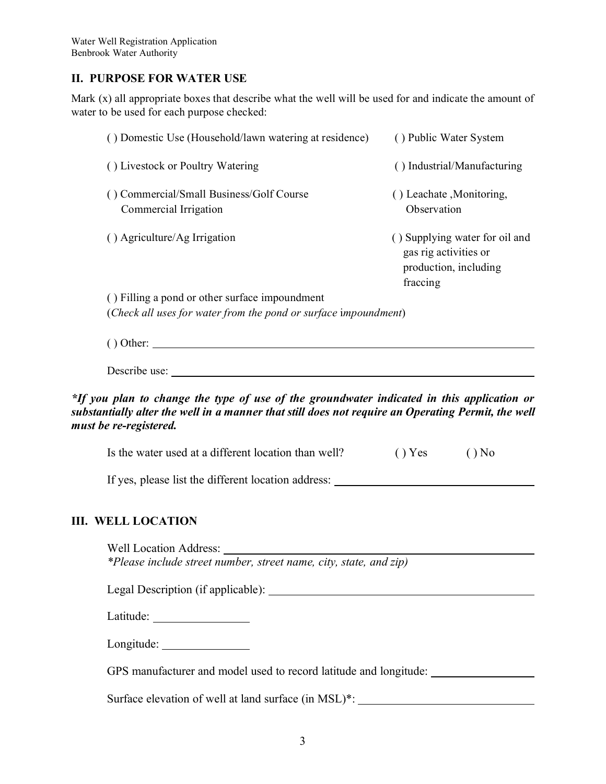#### **II. PURPOSE FOR WATER USE**

Mark (x) all appropriate boxes that describe what the well will be used for and indicate the amount of water to be used for each purpose checked:

| () Domestic Use (Household/lawn watering at residence)            | () Public Water System                                                                       |
|-------------------------------------------------------------------|----------------------------------------------------------------------------------------------|
| () Livestock or Poultry Watering                                  | Industrial/Manufacturing<br>$\left( \right)$                                                 |
| () Commercial/Small Business/Golf Course<br>Commercial Irrigation | () Leachate , Monitoring,<br>Observation                                                     |
| $( )$ Agriculture/Ag Irrigation                                   | () Supplying water for oil and<br>gas rig activities or<br>production, including<br>fraccing |
| () Filling a pond or other surface impoundment                    |                                                                                              |
| (Check all uses for water from the pond or surface impoundment)   |                                                                                              |

Describe use:

**III.** 

#### *\*If you plan to change the type of use of the groundwater indicated in this application or substantially alter the well in a manner that still does not require an Operating Permit, the well must be re-registered.*

| Is the water used at a different location than well?              | Yes | N <sub>o</sub> |
|-------------------------------------------------------------------|-----|----------------|
| If yes, please list the different location address:               |     |                |
| <b>WELL LOCATION</b>                                              |     |                |
|                                                                   |     |                |
| *Please include street number, street name, city, state, and zip) |     |                |
| Legal Description (if applicable):                                |     |                |
|                                                                   |     |                |
|                                                                   |     |                |
| GPS manufacturer and model used to record latitude and longitude: |     |                |

Surface elevation of well at land surface (in MSL)\*: \_\_\_\_\_\_\_\_\_\_\_\_\_\_\_\_\_\_\_\_\_\_\_\_\_\_\_\_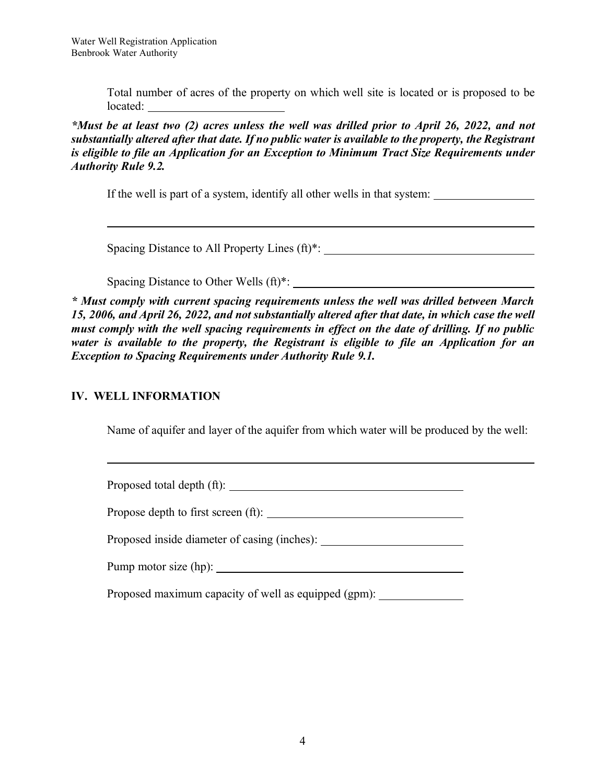$\overline{a}$ 

l

Total number of acres of the property on which well site is located or is proposed to be located:

*\*Must be at least two (2) acres unless the well was drilled prior to April 26, 2022, and not substantially altered after that date. If no public water is available to the property, the Registrant is eligible to file an Application for an Exception to Minimum Tract Size Requirements under Authority Rule 9.2.*

If the well is part of a system, identify all other wells in that system:

Spacing Distance to All Property Lines (ft)\*:

Spacing Distance to Other Wells (ft)\*:

*\* Must comply with current spacing requirements unless the well was drilled between March 15, 2006, and April 26, 2022, and not substantially altered after that date, in which case the well must comply with the well spacing requirements in effect on the date of drilling. If no public water is available to the property, the Registrant is eligible to file an Application for an Exception to Spacing Requirements under Authority Rule 9.1.* 

#### **IV. WELL INFORMATION**

Name of aquifer and layer of the aquifer from which water will be produced by the well:

Proposed total depth (ft):

Propose depth to first screen (ft):

Proposed inside diameter of casing (inches):

Pump motor size (hp):

Proposed maximum capacity of well as equipped (gpm):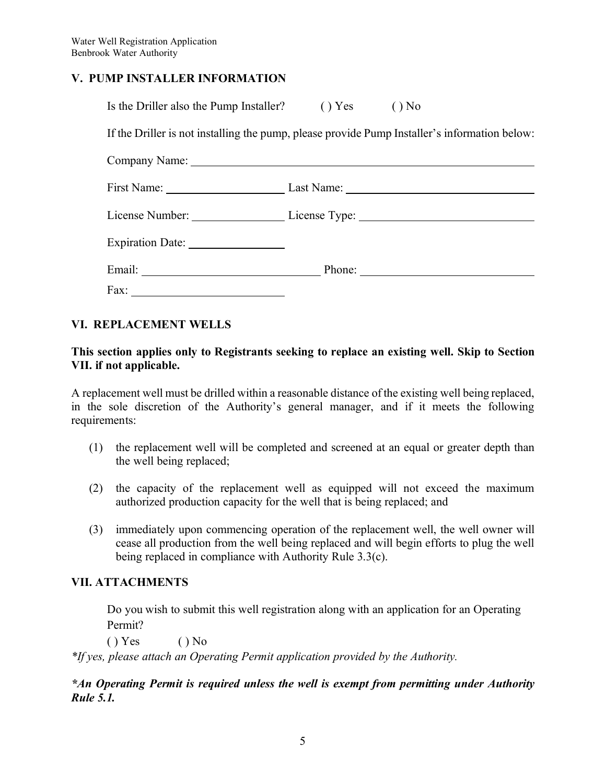### **V. PUMP INSTALLER INFORMATION**

| Is the Driller also the Pump Installer? () Yes () No                                                                                                                                                                           |  |
|--------------------------------------------------------------------------------------------------------------------------------------------------------------------------------------------------------------------------------|--|
| If the Driller is not installing the pump, please provide Pump Installer's information below:                                                                                                                                  |  |
|                                                                                                                                                                                                                                |  |
| First Name: Last Name: Last Name:                                                                                                                                                                                              |  |
| License Number: License Type: License Type:                                                                                                                                                                                    |  |
|                                                                                                                                                                                                                                |  |
| Email: Phone: Phone: Phone: Phone: Phone: Phone: Phone: Phone: Phone: Phone: Phone: Phone: Phone: Phone: Phone: Phone: Phone: Phone: Phone: Phone: Phone: Phone: Phone: Phone: Phone: Phone: Phone: Phone: Phone: Phone: Phone |  |
| Fax:                                                                                                                                                                                                                           |  |

## **VI. REPLACEMENT WELLS**

#### **This section applies only to Registrants seeking to replace an existing well. Skip to Section VII. if not applicable.**

A replacement well must be drilled within a reasonable distance of the existing well being replaced, in the sole discretion of the Authority's general manager, and if it meets the following requirements:

- (1) the replacement well will be completed and screened at an equal or greater depth than the well being replaced;
- (2) the capacity of the replacement well as equipped will not exceed the maximum authorized production capacity for the well that is being replaced; and
- (3) immediately upon commencing operation of the replacement well, the well owner will cease all production from the well being replaced and will begin efforts to plug the well being replaced in compliance with Authority Rule 3.3(c).

## **VII. ATTACHMENTS**

Do you wish to submit this well registration along with an application for an Operating Permit?

 $() Yes$   $() No$ 

*\*If yes, please attach an Operating Permit application provided by the Authority.*

*\*An Operating Permit is required unless the well is exempt from permitting under Authority Rule 5.1.*